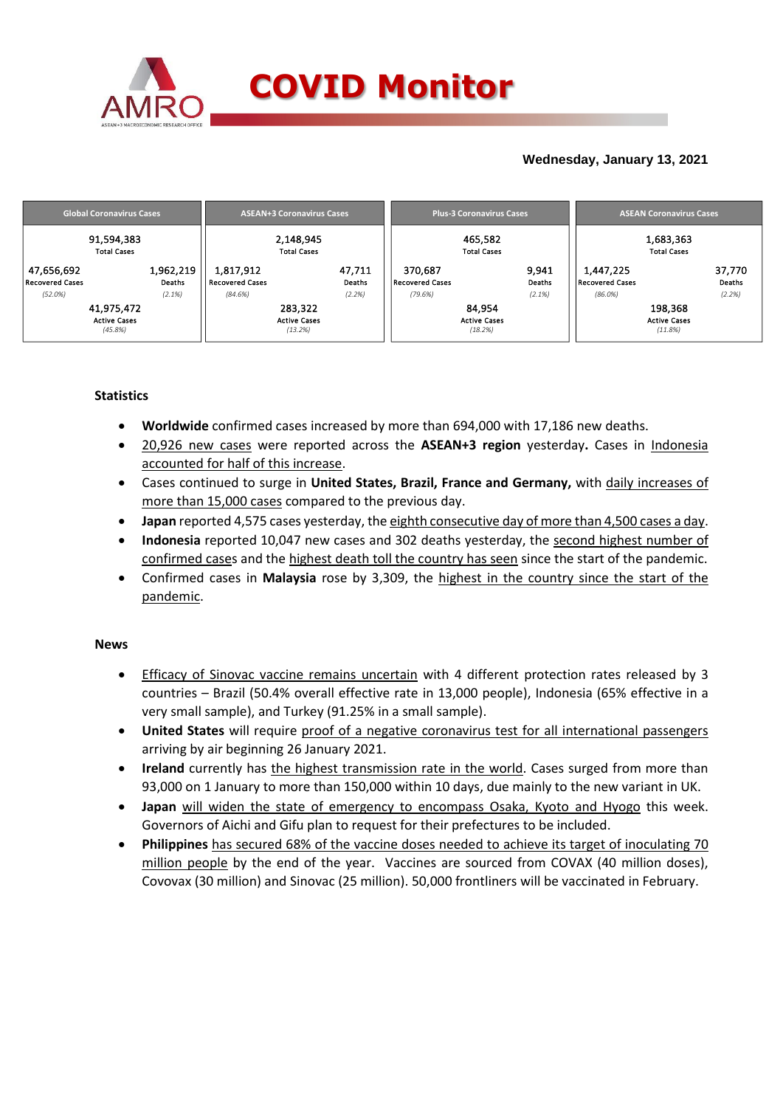

## **Wednesday, January 13, 2021**

| <b>Global Coronavirus Cases</b>                                                                 |                                     | <b>ASEAN+3 Coronavirus Cases</b>          |                  |                            | <b>Plus-3 Coronavirus Cases</b>          |                 |                                     | <b>ASEAN Coronavirus Cases</b>            |                  |  |
|-------------------------------------------------------------------------------------------------|-------------------------------------|-------------------------------------------|------------------|----------------------------|------------------------------------------|-----------------|-------------------------------------|-------------------------------------------|------------------|--|
| 91,594,383<br><b>Total Cases</b><br>1,962,219<br>47,656,692<br><b>Recovered Cases</b><br>Deaths | 1,817,912<br><b>Recovered Cases</b> | 2,148,945<br><b>Total Cases</b>           | 47,711<br>Deaths | 370,687<br>Recovered Cases | 465.582<br><b>Total Cases</b>            | 9,941<br>Deaths | 1,447,225<br><b>Recovered Cases</b> | 1,683,363<br><b>Total Cases</b>           | 37,770<br>Deaths |  |
| (52.0%)<br>(2.1%)                                                                               | (84.6%)                             |                                           | (2.2%)           | (79.6%)                    |                                          | $(2.1\%)$       | $(86.0\%)$                          |                                           | (2.2%)           |  |
| 41,975,472<br><b>Active Cases</b><br>(45.8%)                                                    |                                     | 283,322<br><b>Active Cases</b><br>(13.2%) |                  |                            | 84.954<br><b>Active Cases</b><br>(18.2%) |                 |                                     | 198,368<br><b>Active Cases</b><br>(11.8%) |                  |  |

### **Statistics**

- **Worldwide** confirmed cases increased by more than 694,000 with 17,186 new deaths.
- 20,926 new cases were reported across the **ASEAN+3 region** yesterday**.** Cases in Indonesia accounted for half of this increase.
- Cases continued to surge in **United States, Brazil, France and Germany,** with daily increases of more than 15,000 cases compared to the previous day.
- **Japan** reported 4,575 cases yesterday, the eighth consecutive day of more than 4,500 cases a day.
- **Indonesia** reported 10,047 new cases and 302 deaths yesterday, the second highest number of confirmed cases and the highest death toll the country has seen since the start of the pandemic.
- Confirmed cases in **Malaysia** rose by 3,309, the highest in the country since the start of the pandemic.

### **News**

- Efficacy of Sinovac vaccine remains uncertain with 4 different protection rates released by 3 countries – Brazil (50.4% overall effective rate in 13,000 people), Indonesia (65% effective in a very small sample), and Turkey (91.25% in a small sample).
- **United States** will require proof of a negative coronavirus test for all international passengers arriving by air beginning 26 January 2021.
- **•** Ireland currently has the highest transmission rate in the world. Cases surged from more than 93,000 on 1 January to more than 150,000 within 10 days, due mainly to the new variant in UK.
- **Japan** will widen the state of emergency to encompass Osaka, Kyoto and Hyogo this week. Governors of Aichi and Gifu plan to request for their prefectures to be included.
- **Philippines** has secured 68% of the vaccine doses needed to achieve its target of inoculating 70 million people by the end of the year. Vaccines are sourced from COVAX (40 million doses), Covovax (30 million) and Sinovac (25 million). 50,000 frontliners will be vaccinated in February.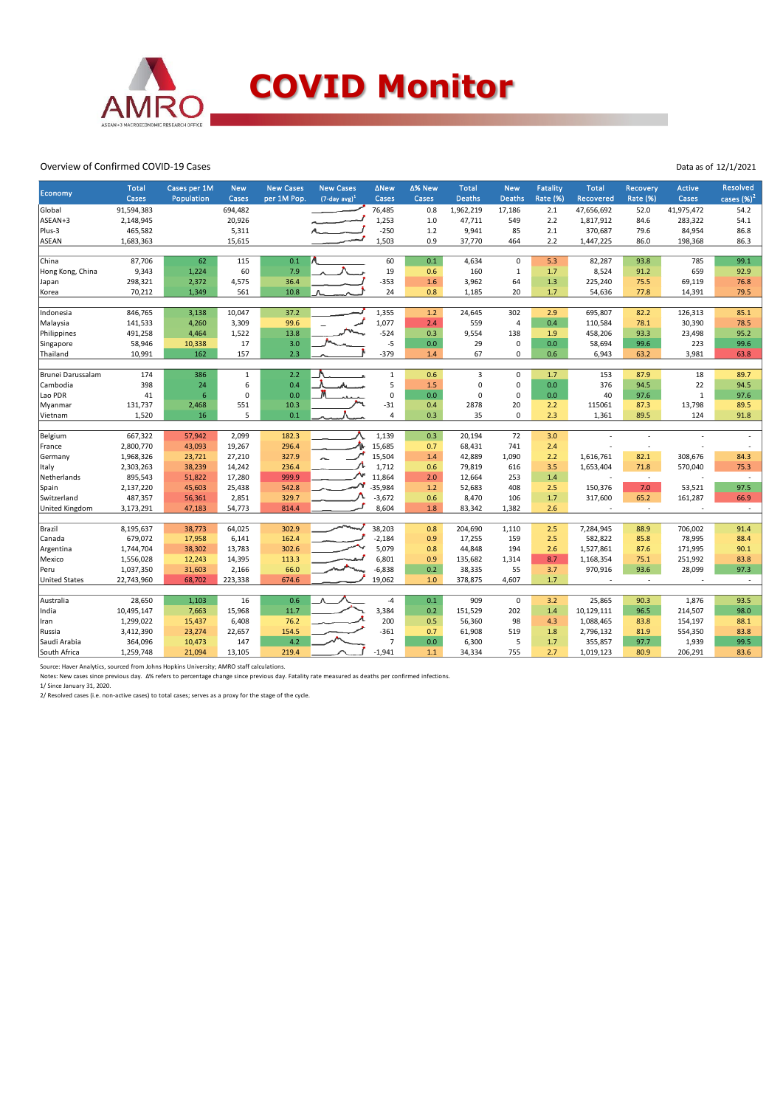

#### Overview of Confirmed COVID-19 Cases

| Cases<br>per 1M Pop.<br>$(7$ -day avg) <sup>1</sup><br>Cases<br>Cases<br><b>Deaths</b><br><b>Rate (%)</b><br>Cases<br>Population<br>Cases<br><b>Deaths</b><br><b>Recovered</b><br><b>Rate (%)</b><br>91,594,383<br>694,482<br>76,485<br>Global<br>0.8<br>1,962,219<br>17,186<br>2.1<br>47,656,692<br>52.0<br>41,975,472<br>ASEAN+3<br>2,148,945<br>20,926<br>1,253<br>47,711<br>549<br>1,817,912<br>283,322<br>1.0<br>2.2<br>84.6<br>Plus-3<br>465,582<br>$-250$<br>85<br>5,311<br>1.2<br>9,941<br>2.1<br>370,687<br>79.6<br>84,954<br>1,683,363<br>15,615<br>1,503<br>0.9<br>37,770<br>2.2<br><b>ASEAN</b><br>464<br>1,447,225<br>86.0<br>198,368<br>62<br>0.1<br>60<br>0.1<br>China<br>87,706<br>115<br>4,634<br>$\mathbf 0$<br>5.3<br>82,287<br>93.8<br>785 | cases $(\%)^2$<br>54.2<br>54.1<br>86.8<br>86.3<br>99.1<br>92.9<br>76.8<br>79.5<br>85.1<br>78.5 |
|----------------------------------------------------------------------------------------------------------------------------------------------------------------------------------------------------------------------------------------------------------------------------------------------------------------------------------------------------------------------------------------------------------------------------------------------------------------------------------------------------------------------------------------------------------------------------------------------------------------------------------------------------------------------------------------------------------------------------------------------------------------|------------------------------------------------------------------------------------------------|
|                                                                                                                                                                                                                                                                                                                                                                                                                                                                                                                                                                                                                                                                                                                                                                |                                                                                                |
|                                                                                                                                                                                                                                                                                                                                                                                                                                                                                                                                                                                                                                                                                                                                                                |                                                                                                |
|                                                                                                                                                                                                                                                                                                                                                                                                                                                                                                                                                                                                                                                                                                                                                                |                                                                                                |
|                                                                                                                                                                                                                                                                                                                                                                                                                                                                                                                                                                                                                                                                                                                                                                |                                                                                                |
|                                                                                                                                                                                                                                                                                                                                                                                                                                                                                                                                                                                                                                                                                                                                                                |                                                                                                |
|                                                                                                                                                                                                                                                                                                                                                                                                                                                                                                                                                                                                                                                                                                                                                                |                                                                                                |
| 19<br>160<br>9,343<br>1,224<br>60<br>7.9<br>0.6<br>$\mathbf{1}$<br>8,524<br>91.2<br>659<br>Hong Kong, China<br>1.7                                                                                                                                                                                                                                                                                                                                                                                                                                                                                                                                                                                                                                             |                                                                                                |
| $-353$<br>2,372<br>4,575<br>36.4<br>3,962<br>64<br>75.5<br>298,321<br>1.6<br>1.3<br>225,240<br>69,119<br>Japan                                                                                                                                                                                                                                                                                                                                                                                                                                                                                                                                                                                                                                                 |                                                                                                |
| 70,212<br>1,349<br>561<br>10.8<br>24<br>0.8<br>1,185<br>20<br>1.7<br>54,636<br>77.8<br>14,391<br>Korea                                                                                                                                                                                                                                                                                                                                                                                                                                                                                                                                                                                                                                                         |                                                                                                |
| 846,765<br>10,047<br>37.2<br>1,355<br>24,645<br>302<br>126,313<br>3,138<br>1.2<br>2.9<br>695,807<br>82.2<br>Indonesia                                                                                                                                                                                                                                                                                                                                                                                                                                                                                                                                                                                                                                          |                                                                                                |
| 3,309<br>99.6<br>1,077<br>141,533<br>4,260<br>2.4<br>559<br>$\overline{4}$<br>0.4<br>110,584<br>78.1<br>30,390<br>Malaysia                                                                                                                                                                                                                                                                                                                                                                                                                                                                                                                                                                                                                                     |                                                                                                |
| 1,522<br>13.8<br>$-524$<br>0.3<br>9,554<br>138<br>93.3<br>1.9                                                                                                                                                                                                                                                                                                                                                                                                                                                                                                                                                                                                                                                                                                  | 95.2                                                                                           |
| Philippines<br>491,258<br>4,464<br>458,206<br>23,498<br>$-5$<br>0.0<br>29<br>58,946<br>17<br>3.0<br>$\pmb{0}$<br>0.0<br>58,694<br>99.6<br>223                                                                                                                                                                                                                                                                                                                                                                                                                                                                                                                                                                                                                  | 99.6                                                                                           |
| Singapore<br>10,338<br>$-379$<br>157<br>2.3<br>67<br>Thailand<br>10,991<br>162<br>1.4<br>$\mathbf 0$<br>0.6<br>63.2                                                                                                                                                                                                                                                                                                                                                                                                                                                                                                                                                                                                                                            |                                                                                                |
| 6,943<br>3,981                                                                                                                                                                                                                                                                                                                                                                                                                                                                                                                                                                                                                                                                                                                                                 | 63.8                                                                                           |
| 2.2<br>Brunei Darussalam<br>174<br>386<br>$\mathbf 1$<br>0.6<br>$\overline{3}$<br>$\mathbf 0$<br>153<br>$\mathbf{1}$<br>1.7<br>87.9<br>18                                                                                                                                                                                                                                                                                                                                                                                                                                                                                                                                                                                                                      | 89.7                                                                                           |
| 5<br>398<br>24<br>6<br>0.4<br>1.5<br>$\pmb{0}$<br>0.0<br>22<br>Cambodia<br>0<br>376<br>94.5                                                                                                                                                                                                                                                                                                                                                                                                                                                                                                                                                                                                                                                                    | 94.5                                                                                           |
| $\mathbf 0$<br>Lao PDR<br>41<br>6<br>$\Omega$<br>0.0<br>0.0<br>$\mathbf 0$<br>$\mathbf{1}$<br>0<br>0.0<br>40<br>97.6                                                                                                                                                                                                                                                                                                                                                                                                                                                                                                                                                                                                                                           | 97.6                                                                                           |
| $-31$<br>131,737<br>10.3<br>0.4<br>551<br>2878<br>20<br>2.2<br>115061<br>87.3<br>13,798<br>Myanmar<br>2,468                                                                                                                                                                                                                                                                                                                                                                                                                                                                                                                                                                                                                                                    | 89.5                                                                                           |
| 1,520<br>5<br>0.1<br>$\overline{a}$<br>0.3<br>35<br>$\Omega$<br>2.3<br>1,361<br>89.5<br>16<br>124<br>Vietnam                                                                                                                                                                                                                                                                                                                                                                                                                                                                                                                                                                                                                                                   | 91.8                                                                                           |
|                                                                                                                                                                                                                                                                                                                                                                                                                                                                                                                                                                                                                                                                                                                                                                |                                                                                                |
| 72<br>Belgium<br>667,322<br>2,099<br>182.3<br>1,139<br>0.3<br>20,194<br>3.0<br>57,942                                                                                                                                                                                                                                                                                                                                                                                                                                                                                                                                                                                                                                                                          |                                                                                                |
| ۸L<br>2,800,770<br>19,267<br>15,685<br>68,431<br>741<br>France<br>43,093<br>296.4<br>0.7<br>2.4<br>ä,                                                                                                                                                                                                                                                                                                                                                                                                                                                                                                                                                                                                                                                          |                                                                                                |
| Germany<br>1,968,326<br>27,210<br>327.9<br>15,504<br>1.4<br>42,889<br>1,090<br>1,616,761<br>82.1<br>308,676<br>23,721<br>2.2                                                                                                                                                                                                                                                                                                                                                                                                                                                                                                                                                                                                                                   | 84.3                                                                                           |
| 2,303,263<br>38,239<br>236.4<br>1,712<br>79,819<br>616<br>3.5<br>1,653,404<br>71.8<br>570,040<br>Italy<br>14,242<br>0.6                                                                                                                                                                                                                                                                                                                                                                                                                                                                                                                                                                                                                                        | 75.3                                                                                           |
| ∼<br>895,543<br>999.9<br>11,864<br>Netherlands<br>51,822<br>17,280<br>2.0<br>12,664<br>253<br>1.4<br>$\sim$<br>×,                                                                                                                                                                                                                                                                                                                                                                                                                                                                                                                                                                                                                                              | $\sim$                                                                                         |
| $-35,984$<br>Spain<br>2,137,220<br>45,603<br>25,438<br>542.8<br>1.2<br>52,683<br>408<br>2.5<br>150,376<br>7.0<br>53,521                                                                                                                                                                                                                                                                                                                                                                                                                                                                                                                                                                                                                                        | 97.5                                                                                           |
| 487,357<br>2,851<br>$-3,672$<br>0.6<br>8,470<br>106<br>1.7<br>317,600<br>65.2<br>161,287<br>Switzerland<br>56,361<br>329.7                                                                                                                                                                                                                                                                                                                                                                                                                                                                                                                                                                                                                                     | 66.9                                                                                           |
| 54,773<br>United Kingdom<br>814.4<br>8,604<br>1.8<br>83,342<br>1,382<br>2.6<br>3,173,291<br>47,183<br>$\sim$                                                                                                                                                                                                                                                                                                                                                                                                                                                                                                                                                                                                                                                   | $\sim$                                                                                         |
| Brazil<br>302.9<br>38,203<br>8,195,637<br>38,773<br>64,025<br>0.8<br>204,690<br>1,110<br>2.5<br>7,284,945<br>88.9<br>706,002                                                                                                                                                                                                                                                                                                                                                                                                                                                                                                                                                                                                                                   | 91.4                                                                                           |
| 679,072<br>6,141<br>162.4<br>$-2,184$<br>2.5<br>582,822<br>78,995<br>Canada<br>17,958<br>0.9<br>17,255<br>159<br>85.8                                                                                                                                                                                                                                                                                                                                                                                                                                                                                                                                                                                                                                          | 88.4                                                                                           |
|                                                                                                                                                                                                                                                                                                                                                                                                                                                                                                                                                                                                                                                                                                                                                                |                                                                                                |
| 1,744,704<br>38,302<br>13,783<br>302.6<br>5,079<br>0.8<br>2.6<br>1,527,861<br>87.6<br>171,995<br>Argentina<br>44,848<br>194                                                                                                                                                                                                                                                                                                                                                                                                                                                                                                                                                                                                                                    | 90.1                                                                                           |
| 6,801<br>Mexico<br>1,556,028<br>14,395<br>113.3<br>0.9<br>135,682<br>8.7<br>1,168,354<br>75.1<br>251,992<br>12,243<br>1,314<br>$-6,838$<br>66.0<br>0.2<br>55<br>Peru<br>93.6                                                                                                                                                                                                                                                                                                                                                                                                                                                                                                                                                                                   | 83.8<br>97.3                                                                                   |
| 28,099<br>1,037,350<br>31,603<br>2,166<br>38,335<br>3.7<br>970,916                                                                                                                                                                                                                                                                                                                                                                                                                                                                                                                                                                                                                                                                                             |                                                                                                |
| 22,743,960<br>68,702<br>223,338<br>674.6<br>19,062<br>378,875<br>4,607<br>1.7<br><b>United States</b><br>1.0<br>$\sim$<br>÷.                                                                                                                                                                                                                                                                                                                                                                                                                                                                                                                                                                                                                                   | $\sim$                                                                                         |
| 28,650<br>16<br>0.6<br>0.1<br>909<br>$\mathbf 0$<br>Australia<br>1,103<br>$-4$<br>3.2<br>25,865<br>90.3<br>1,876                                                                                                                                                                                                                                                                                                                                                                                                                                                                                                                                                                                                                                               | 93.5                                                                                           |
| 3,384<br>10,495,147<br>15,968<br>11.7<br>0.2<br>202<br>1.4<br>96.5<br>214,507<br>India<br>7,663<br>151,529<br>10,129,111                                                                                                                                                                                                                                                                                                                                                                                                                                                                                                                                                                                                                                       | 98.0                                                                                           |
| 1,299,022<br>76.2<br>200<br>15,437<br>6,408<br>0.5<br>56,360<br>98<br>4.3<br>1,088,465<br>83.8<br>154,197<br>Iran                                                                                                                                                                                                                                                                                                                                                                                                                                                                                                                                                                                                                                              | 88.1                                                                                           |
| 3,412,390<br>154.5<br>$-361$<br>0.7<br>Russia<br>23,274<br>22,657<br>61,908<br>519<br>1.8<br>2,796,132<br>81.9<br>554,350                                                                                                                                                                                                                                                                                                                                                                                                                                                                                                                                                                                                                                      | 83.8                                                                                           |
| 4.2<br>$\overline{7}$<br>5<br>Saudi Arabia<br>364,096<br>147<br>0.0<br>6,300<br>97.7<br>10,473<br>1.7<br>355,857<br>1,939                                                                                                                                                                                                                                                                                                                                                                                                                                                                                                                                                                                                                                      | 99.5                                                                                           |
| $-1,941$<br>1,259,748<br>21,094<br>13,105<br>219.4<br>1.1<br>34,334<br>755<br>2.7<br>1,019,123<br>80.9<br>206,291<br>South Africa                                                                                                                                                                                                                                                                                                                                                                                                                                                                                                                                                                                                                              | 83.6                                                                                           |

Source: Haver Analytics, sourced from Johns Hopkins University; AMRO staff calculations.

Notes: New cases since previous day. Δ% refers to percentage change since previous day. Fatality rate measured as deaths per confirmed infections. 1/ Since January 31, 2020.

2/ Resolved cases (i.e. non-active cases) to total cases; serves as a proxy for the stage of the cycle.

Data as of 12/1/2021